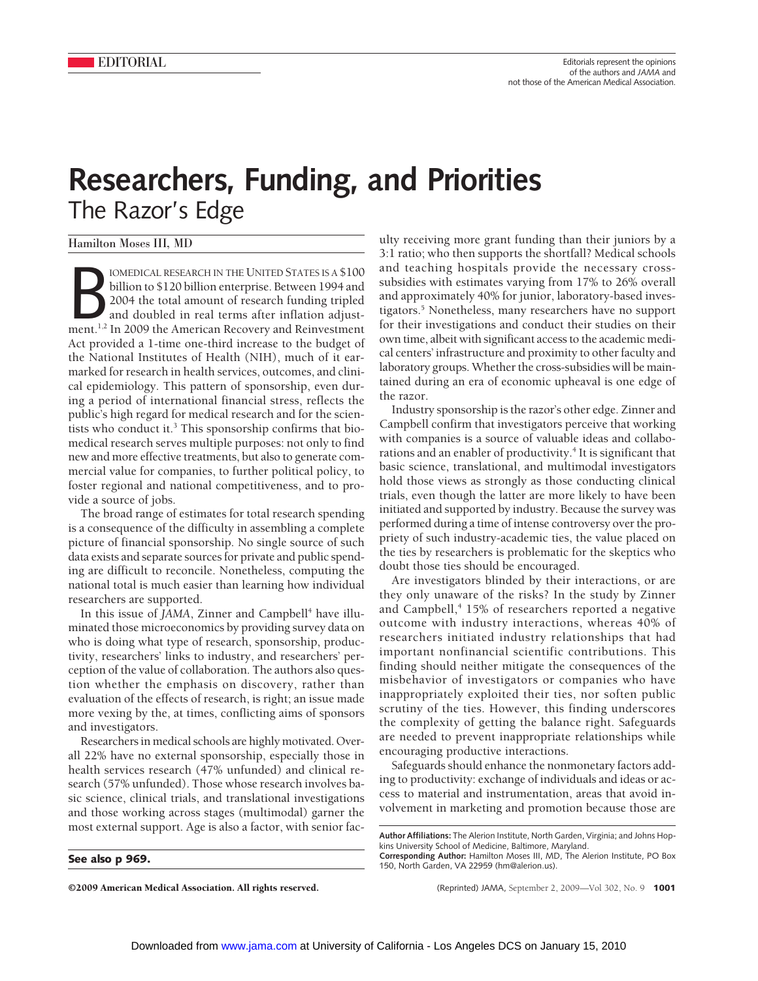## **Researchers, Funding, and Priorities** The Razor's Edge

Hamilton Moses III, MD

FINITED STATES IS A \$100<br>billion to \$120 billion enterprise. Between 1994 and<br>2004 the total amount of research funding tripled<br>and doubled in real terms after inflation adjust-<br>ment.<sup>1,2</sup> In 2009 the American Recovery and IOMEDICAL RESEARCH IN THE UNITED STATES IS A \$100 billion to \$120 billion enterprise. Between 1994 and 2004 the total amount of research funding tripled and doubled in real terms after inflation adjust-Act provided a 1-time one-third increase to the budget of the National Institutes of Health (NIH), much of it earmarked for research in health services, outcomes, and clinical epidemiology. This pattern of sponsorship, even during a period of international financial stress, reflects the public's high regard for medical research and for the scientists who conduct it.<sup>3</sup> This sponsorship confirms that biomedical research serves multiple purposes: not only to find new and more effective treatments, but also to generate commercial value for companies, to further political policy, to foster regional and national competitiveness, and to provide a source of jobs.

The broad range of estimates for total research spending is a consequence of the difficulty in assembling a complete picture of financial sponsorship. No single source of such data exists and separate sources for private and public spending are difficult to reconcile. Nonetheless, computing the national total is much easier than learning how individual researchers are supported.

In this issue of *JAMA*, Zinner and Campbell<sup>4</sup> have illuminated those microeconomics by providing survey data on who is doing what type of research, sponsorship, productivity, researchers' links to industry, and researchers' perception of the value of collaboration. The authors also question whether the emphasis on discovery, rather than evaluation of the effects of research, is right; an issue made more vexing by the, at times, conflicting aims of sponsors and investigators.

Researchers in medical schools are highly motivated. Overall 22% have no external sponsorship, especially those in health services research (47% unfunded) and clinical research (57% unfunded). Those whose research involves basic science, clinical trials, and translational investigations and those working across stages (multimodal) garner the most external support. Age is also a factor, with senior fac-

**See also p 969.**

©2009 American Medical Association. All rights reserved. (Reprinted) JAMA, September 2, 2009—Vol 302, No. 9 **1001**

ulty receiving more grant funding than their juniors by a 3:1 ratio; who then supports the shortfall? Medical schools and teaching hospitals provide the necessary crosssubsidies with estimates varying from 17% to 26% overall and approximately 40% for junior, laboratory-based investigators.5 Nonetheless, many researchers have no support for their investigations and conduct their studies on their own time, albeit with significant access to the academic medical centers' infrastructure and proximity to other faculty and laboratory groups. Whether the cross-subsidies will be maintained during an era of economic upheaval is one edge of the razor.

Industry sponsorship is the razor's other edge. Zinner and Campbell confirm that investigators perceive that working with companies is a source of valuable ideas and collaborations and an enabler of productivity.<sup>4</sup> It is significant that basic science, translational, and multimodal investigators hold those views as strongly as those conducting clinical trials, even though the latter are more likely to have been initiated and supported by industry. Because the survey was performed during a time of intense controversy over the propriety of such industry-academic ties, the value placed on the ties by researchers is problematic for the skeptics who doubt those ties should be encouraged.

Are investigators blinded by their interactions, or are they only unaware of the risks? In the study by Zinner and Campbell,<sup>4</sup> 15% of researchers reported a negative outcome with industry interactions, whereas 40% of researchers initiated industry relationships that had important nonfinancial scientific contributions. This finding should neither mitigate the consequences of the misbehavior of investigators or companies who have inappropriately exploited their ties, nor soften public scrutiny of the ties. However, this finding underscores the complexity of getting the balance right. Safeguards are needed to prevent inappropriate relationships while encouraging productive interactions.

Safeguards should enhance the nonmonetary factors adding to productivity: exchange of individuals and ideas or access to material and instrumentation, areas that avoid involvement in marketing and promotion because those are

**Author Affiliations:** The Alerion Institute, North Garden, Virginia; and Johns Hopkins University School of Medicine, Baltimore, Maryland.

**Corresponding Author:** Hamilton Moses III, MD, The Alerion Institute, PO Box 150, North Garden, VA 22959 (hm@alerion.us).